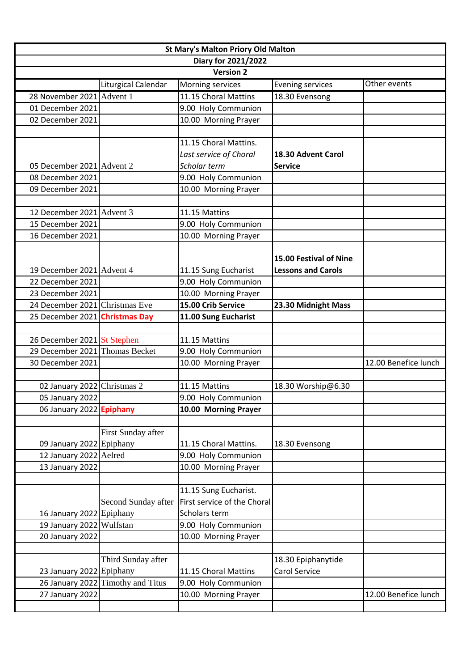| <b>St Mary's Malton Priory Old Malton</b> |                                   |                             |                           |                      |  |
|-------------------------------------------|-----------------------------------|-----------------------------|---------------------------|----------------------|--|
| Diary for 2021/2022                       |                                   |                             |                           |                      |  |
| <b>Version 2</b>                          |                                   |                             |                           |                      |  |
|                                           | Liturgical Calendar               | Morning services            | <b>Evening services</b>   | Other events         |  |
| 28 November 2021 Advent 1                 |                                   | $11.15$ Choral Mattins      | 18.30 Evensong            |                      |  |
| 01 December 2021                          |                                   | 9.00 Holy Communion         |                           |                      |  |
| 02 December 2021                          |                                   | 10.00 Morning Prayer        |                           |                      |  |
|                                           |                                   |                             |                           |                      |  |
|                                           |                                   | 11.15 Choral Mattins.       |                           |                      |  |
|                                           |                                   | Last service of Choral      | 18.30 Advent Carol        |                      |  |
| 05 December 2021 Advent 2                 |                                   | Scholar term                | <b>Service</b>            |                      |  |
| 08 December 2021                          |                                   | 9.00 Holy Communion         |                           |                      |  |
| 09 December 2021                          |                                   | 10.00 Morning Prayer        |                           |                      |  |
|                                           |                                   |                             |                           |                      |  |
| 12 December 2021 Advent 3                 |                                   | 11.15 Mattins               |                           |                      |  |
| 15 December 2021                          |                                   | 9.00 Holy Communion         |                           |                      |  |
| 16 December 2021                          |                                   | 10.00 Morning Prayer        |                           |                      |  |
|                                           |                                   |                             |                           |                      |  |
|                                           |                                   |                             | 15.00 Festival of Nine    |                      |  |
| 19 December 2021 Advent 4                 |                                   | 11.15 Sung Eucharist        | <b>Lessons and Carols</b> |                      |  |
| 22 December 2021                          |                                   | 9.00 Holy Communion         |                           |                      |  |
| 23 December 2021                          |                                   | 10.00 Morning Prayer        |                           |                      |  |
| 24 December 2021 Christmas Eve            |                                   | 15.00 Crib Service          | 23.30 Midnight Mass       |                      |  |
| 25 December 2021 Christmas Day            |                                   | 11.00 Sung Eucharist        |                           |                      |  |
|                                           |                                   |                             |                           |                      |  |
| 26 December 2021 St Stephen               |                                   | 11.15 Mattins               |                           |                      |  |
| 29 December 2021 Thomas Becket            |                                   | 9.00 Holy Communion         |                           |                      |  |
| 30 December 2021                          |                                   | 10.00 Morning Prayer        |                           | 12.00 Benefice lunch |  |
|                                           |                                   |                             |                           |                      |  |
| 02 January 2022 Christmas 2               |                                   | 11.15 Mattins               | 18.30 Worship@6.30        |                      |  |
| 05 January 2022                           |                                   | 9.00 Holy Communion         |                           |                      |  |
| 06 January 2022 Epiphany                  |                                   | 10.00 Morning Prayer        |                           |                      |  |
|                                           |                                   |                             |                           |                      |  |
|                                           | First Sunday after                |                             |                           |                      |  |
| 09 January 2022 Epiphany                  |                                   | 11.15 Choral Mattins.       | 18.30 Evensong            |                      |  |
| 12 January 2022 Aelred                    |                                   | 9.00 Holy Communion         |                           |                      |  |
| 13 January 2022                           |                                   | 10.00 Morning Prayer        |                           |                      |  |
|                                           |                                   |                             |                           |                      |  |
|                                           |                                   | 11.15 Sung Eucharist.       |                           |                      |  |
|                                           | Second Sunday after               | First service of the Choral |                           |                      |  |
| 16 January 2022 Epiphany                  |                                   | Scholars term               |                           |                      |  |
| 19 January 2022 Wulfstan                  |                                   | 9.00 Holy Communion         |                           |                      |  |
| 20 January 2022                           |                                   | 10.00 Morning Prayer        |                           |                      |  |
|                                           |                                   |                             |                           |                      |  |
|                                           | Third Sunday after                |                             | 18.30 Epiphanytide        |                      |  |
| 23 January 2022 Epiphany                  |                                   | 11.15 Choral Mattins        | <b>Carol Service</b>      |                      |  |
|                                           | 26 January 2022 Timothy and Titus | 9.00 Holy Communion         |                           |                      |  |
| 27 January 2022                           |                                   | 10.00 Morning Prayer        |                           | 12.00 Benefice lunch |  |
|                                           |                                   |                             |                           |                      |  |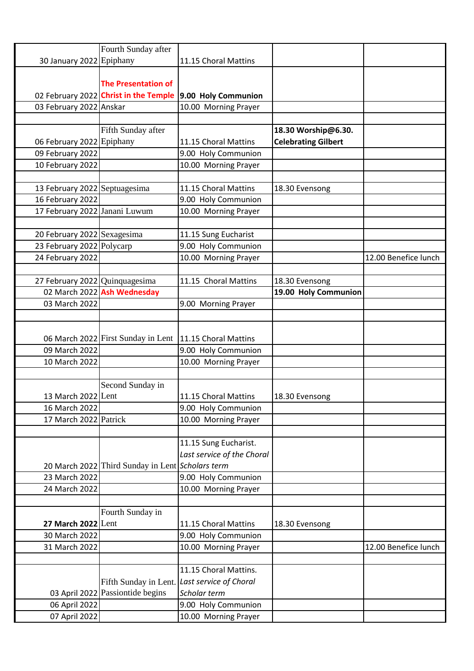|                                | Fourth Sunday after                              |                                              |                            |                      |
|--------------------------------|--------------------------------------------------|----------------------------------------------|----------------------------|----------------------|
| 30 January 2022 Epiphany       |                                                  | 11.15 Choral Mattins                         |                            |                      |
|                                |                                                  |                                              |                            |                      |
|                                | <b>The Presentation of</b>                       |                                              |                            |                      |
|                                | 02 February 2022 Christ in the Temple            | 9.00 Holy Communion                          |                            |                      |
| 03 February 2022 Anskar        |                                                  | 10.00 Morning Prayer                         |                            |                      |
|                                |                                                  |                                              |                            |                      |
|                                | Fifth Sunday after                               |                                              | 18.30 Worship@6.30.        |                      |
| 06 February 2022 Epiphany      |                                                  | 11.15 Choral Mattins                         | <b>Celebrating Gilbert</b> |                      |
| 09 February 2022               |                                                  | 9.00 Holy Communion                          |                            |                      |
| 10 February 2022               |                                                  | 10.00 Morning Prayer                         |                            |                      |
|                                |                                                  |                                              |                            |                      |
| 13 February 2022 Septuagesima  |                                                  | 11.15 Choral Mattins                         | 18.30 Evensong             |                      |
| 16 February 2022               |                                                  | 9.00 Holy Communion                          |                            |                      |
| 17 February 2022 Janani Luwum  |                                                  | 10.00 Morning Prayer                         |                            |                      |
|                                |                                                  |                                              |                            |                      |
| 20 February 2022 Sexagesima    |                                                  | 11.15 Sung Eucharist                         |                            |                      |
| 23 February 2022 Polycarp      |                                                  | 9.00 Holy Communion                          |                            |                      |
| 24 February 2022               |                                                  | 10.00 Morning Prayer                         |                            | 12.00 Benefice lunch |
|                                |                                                  |                                              |                            |                      |
| 27 February 2022 Quinquagesima |                                                  | 11.15 Choral Mattins                         | 18.30 Evensong             |                      |
|                                | 02 March 2022 Ash Wednesday                      |                                              | 19.00 Holy Communion       |                      |
| 03 March 2022                  |                                                  | 9.00 Morning Prayer                          |                            |                      |
|                                |                                                  |                                              |                            |                      |
|                                |                                                  |                                              |                            |                      |
|                                | 06 March 2022 First Sunday in Lent               | 11.15 Choral Mattins                         |                            |                      |
| 09 March 2022                  |                                                  | 9.00 Holy Communion                          |                            |                      |
| 10 March 2022                  |                                                  | 10.00 Morning Prayer                         |                            |                      |
|                                |                                                  |                                              |                            |                      |
|                                | Second Sunday in                                 |                                              |                            |                      |
| 13 March 2022 Lent             |                                                  | 11.15 Choral Mattins                         | 18.30 Evensong             |                      |
| 16 March 2022                  |                                                  | 9.00 Holy Communion                          |                            |                      |
| 17 March 2022 Patrick          |                                                  | 10.00 Morning Prayer                         |                            |                      |
|                                |                                                  |                                              |                            |                      |
|                                |                                                  | 11.15 Sung Eucharist.                        |                            |                      |
|                                |                                                  | Last service of the Choral                   |                            |                      |
|                                | 20 March 2022 Third Sunday in Lent Scholars term |                                              |                            |                      |
| 23 March 2022                  |                                                  | 9.00 Holy Communion                          |                            |                      |
| 24 March 2022                  |                                                  | 10.00 Morning Prayer                         |                            |                      |
|                                |                                                  |                                              |                            |                      |
|                                | Fourth Sunday in                                 |                                              |                            |                      |
| <b>27 March 2022</b> Lent      |                                                  | 11.15 Choral Mattins                         | 18.30 Evensong             |                      |
| 30 March 2022                  |                                                  | 9.00 Holy Communion                          |                            |                      |
| 31 March 2022                  |                                                  | 10.00 Morning Prayer                         |                            | 12.00 Benefice lunch |
|                                |                                                  |                                              |                            |                      |
|                                |                                                  | 11.15 Choral Mattins.                        |                            |                      |
|                                |                                                  | Fifth Sunday in Lent. Last service of Choral |                            |                      |
|                                | 03 April 2022 Passiontide begins                 | Scholar term                                 |                            |                      |
| 06 April 2022                  |                                                  | 9.00 Holy Communion                          |                            |                      |
| 07 April 2022                  |                                                  | 10.00 Morning Prayer                         |                            |                      |
|                                |                                                  |                                              |                            |                      |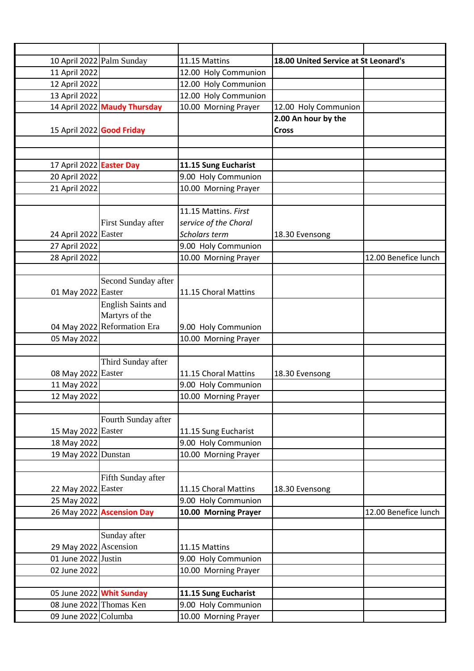|                           | 10 April 2022 Palm Sunday    | 11.15 Mattins         | 18.00 United Service at St Leonard's |                      |
|---------------------------|------------------------------|-----------------------|--------------------------------------|----------------------|
| 11 April 2022             |                              | 12.00 Holy Communion  |                                      |                      |
| 12 April 2022             |                              | 12.00 Holy Communion  |                                      |                      |
| 13 April 2022             |                              | 12.00 Holy Communion  |                                      |                      |
|                           | 14 April 2022 Maudy Thursday | 10.00 Morning Prayer  | 12.00 Holy Communion                 |                      |
|                           |                              |                       | 2.00 An hour by the                  |                      |
| 15 April 2022 Good Friday |                              |                       | <b>Cross</b>                         |                      |
|                           |                              |                       |                                      |                      |
|                           |                              |                       |                                      |                      |
| 17 April 2022 Easter Day  |                              | 11.15 Sung Eucharist  |                                      |                      |
| 20 April 2022             |                              | 9.00 Holy Communion   |                                      |                      |
| 21 April 2022             |                              | 10.00 Morning Prayer  |                                      |                      |
|                           |                              |                       |                                      |                      |
|                           |                              | 11.15 Mattins. First  |                                      |                      |
|                           | First Sunday after           | service of the Choral |                                      |                      |
| 24 April 2022 Easter      |                              | Scholars term         | 18.30 Evensong                       |                      |
| 27 April 2022             |                              | 9.00 Holy Communion   |                                      |                      |
| 28 April 2022             |                              | 10.00 Morning Prayer  |                                      | 12.00 Benefice lunch |
|                           |                              |                       |                                      |                      |
|                           | Second Sunday after          |                       |                                      |                      |
| 01 May 2022 Easter        |                              | 11.15 Choral Mattins  |                                      |                      |
|                           | <b>English Saints and</b>    |                       |                                      |                      |
|                           | Martyrs of the               |                       |                                      |                      |
| 04 May 2022               | Reformation Era              | 9.00 Holy Communion   |                                      |                      |
| 05 May 2022               |                              | 10.00 Morning Prayer  |                                      |                      |
|                           |                              |                       |                                      |                      |
|                           | Third Sunday after           |                       |                                      |                      |
| 08 May 2022 Easter        |                              | 11.15 Choral Mattins  | 18.30 Evensong                       |                      |
| 11 May 2022               |                              | 9.00 Holy Communion   |                                      |                      |
| 12 May 2022               |                              | 10.00 Morning Prayer  |                                      |                      |
|                           |                              |                       |                                      |                      |
|                           | Fourth Sunday after          |                       |                                      |                      |
| 15 May 2022 Easter        |                              | 11.15 Sung Eucharist  |                                      |                      |
| 18 May 2022               |                              | 9.00 Holy Communion   |                                      |                      |
| 19 May 2022 Dunstan       |                              | 10.00 Morning Prayer  |                                      |                      |
|                           |                              |                       |                                      |                      |
|                           | Fifth Sunday after           |                       |                                      |                      |
| 22 May 2022 Easter        |                              | 11.15 Choral Mattins  | 18.30 Evensong                       |                      |
| 25 May 2022               |                              | 9.00 Holy Communion   |                                      |                      |
|                           | 26 May 2022 Ascension Day    | 10.00 Morning Prayer  |                                      | 12.00 Benefice lunch |
|                           |                              |                       |                                      |                      |
|                           | Sunday after                 |                       |                                      |                      |
| 29 May 2022 Ascension     |                              | 11.15 Mattins         |                                      |                      |
| 01 June 2022 Justin       |                              | 9.00 Holy Communion   |                                      |                      |
| 02 June 2022              |                              | 10.00 Morning Prayer  |                                      |                      |
|                           |                              |                       |                                      |                      |
|                           | 05 June 2022 Whit Sunday     | 11.15 Sung Eucharist  |                                      |                      |
|                           | 08 June 2022 Thomas Ken      | 9.00 Holy Communion   |                                      |                      |
| 09 June 2022 Columba      |                              | 10.00 Morning Prayer  |                                      |                      |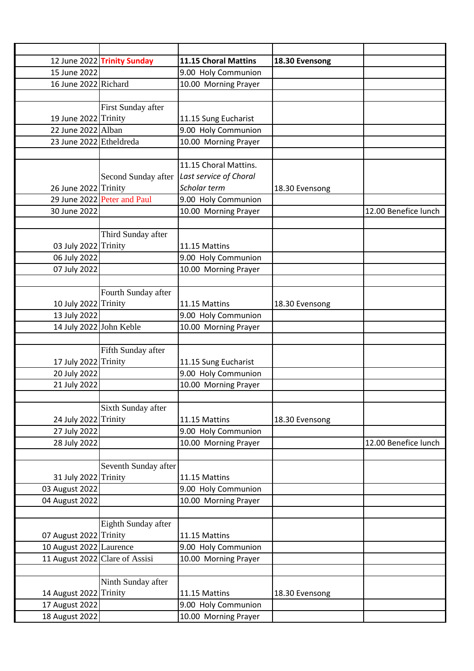|                                | 12 June 2022 Trinity Sunday | 11.15 Choral Mattins   | 18.30 Evensong |                      |
|--------------------------------|-----------------------------|------------------------|----------------|----------------------|
| 15 June 2022                   |                             | 9.00 Holy Communion    |                |                      |
| 16 June 2022 Richard           |                             | 10.00 Morning Prayer   |                |                      |
|                                |                             |                        |                |                      |
|                                | First Sunday after          |                        |                |                      |
| 19 June 2022 Trinity           |                             | 11.15 Sung Eucharist   |                |                      |
| 22 June 2022 Alban             |                             | 9.00 Holy Communion    |                |                      |
| 23 June 2022 Etheldreda        |                             | 10.00 Morning Prayer   |                |                      |
|                                |                             |                        |                |                      |
|                                |                             | 11.15 Choral Mattins.  |                |                      |
|                                | Second Sunday after         | Last service of Choral |                |                      |
| 26 June 2022 Trinity           |                             | Scholar term           | 18.30 Evensong |                      |
|                                | 29 June 2022 Peter and Paul | 9.00 Holy Communion    |                |                      |
| 30 June 2022                   |                             | 10.00 Morning Prayer   |                | 12.00 Benefice lunch |
|                                |                             |                        |                |                      |
|                                | Third Sunday after          |                        |                |                      |
| 03 July 2022 Trinity           |                             | 11.15 Mattins          |                |                      |
| 06 July 2022                   |                             | 9.00 Holy Communion    |                |                      |
| 07 July 2022                   |                             | 10.00 Morning Prayer   |                |                      |
|                                |                             |                        |                |                      |
|                                | Fourth Sunday after         |                        |                |                      |
| 10 July 2022 Trinity           |                             | 11.15 Mattins          | 18.30 Evensong |                      |
| 13 July 2022                   |                             | 9.00 Holy Communion    |                |                      |
| 14 July 2022 John Keble        |                             | 10.00 Morning Prayer   |                |                      |
|                                |                             |                        |                |                      |
|                                | Fifth Sunday after          |                        |                |                      |
| 17 July 2022 Trinity           |                             | 11.15 Sung Eucharist   |                |                      |
| 20 July 2022                   |                             | 9.00 Holy Communion    |                |                      |
| 21 July 2022                   |                             | 10.00 Morning Prayer   |                |                      |
|                                |                             |                        |                |                      |
|                                | Sixth Sunday after          |                        |                |                      |
| 24 July 2022 Trinity           |                             | 11.15 Mattins          | 18.30 Evensong |                      |
| 27 July 2022                   |                             | 9.00 Holy Communion    |                |                      |
| 28 July 2022                   |                             | 10.00 Morning Prayer   |                | 12.00 Benefice lunch |
|                                |                             |                        |                |                      |
|                                | Seventh Sunday after        |                        |                |                      |
| 31 July 2022 Trinity           |                             | 11.15 Mattins          |                |                      |
| 03 August 2022                 |                             | 9.00 Holy Communion    |                |                      |
| 04 August 2022                 |                             | 10.00 Morning Prayer   |                |                      |
|                                |                             |                        |                |                      |
|                                | Eighth Sunday after         |                        |                |                      |
| 07 August 2022 Trinity         |                             | 11.15 Mattins          |                |                      |
| 10 August 2022 Laurence        |                             | 9.00 Holy Communion    |                |                      |
| 11 August 2022 Clare of Assisi |                             | 10.00 Morning Prayer   |                |                      |
|                                |                             |                        |                |                      |
|                                | Ninth Sunday after          |                        |                |                      |
| 14 August 2022                 | <b>Trinity</b>              | 11.15 Mattins          | 18.30 Evensong |                      |
| 17 August 2022                 |                             | 9.00 Holy Communion    |                |                      |
| 18 August 2022                 |                             | 10.00 Morning Prayer   |                |                      |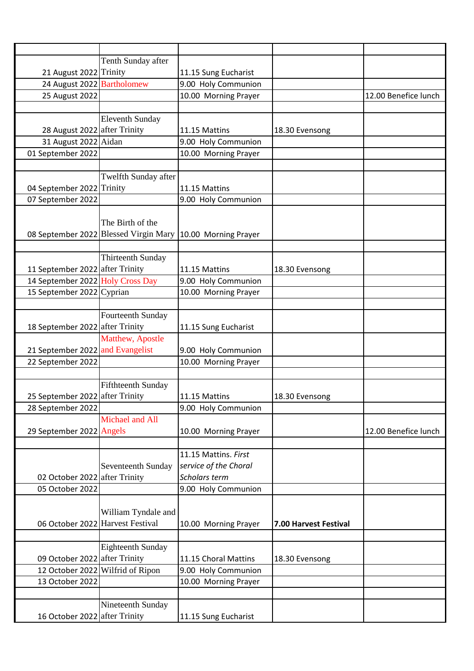|                                  | Tenth Sunday after               |                                                            |                       |                      |
|----------------------------------|----------------------------------|------------------------------------------------------------|-----------------------|----------------------|
| 21 August 2022 Trinity           |                                  | 11.15 Sung Eucharist                                       |                       |                      |
| 24 August 2022 Bartholomew       |                                  | 9.00 Holy Communion                                        |                       |                      |
| 25 August 2022                   |                                  | 10.00 Morning Prayer                                       |                       | 12.00 Benefice lunch |
|                                  |                                  |                                                            |                       |                      |
|                                  | <b>Eleventh Sunday</b>           |                                                            |                       |                      |
| 28 August 2022 after Trinity     |                                  | 11.15 Mattins                                              | 18.30 Evensong        |                      |
| 31 August 2022 Aidan             |                                  | 9.00 Holy Communion                                        |                       |                      |
| 01 September 2022                |                                  | 10.00 Morning Prayer                                       |                       |                      |
|                                  |                                  |                                                            |                       |                      |
|                                  | Twelfth Sunday after             |                                                            |                       |                      |
| 04 September 2022 Trinity        |                                  | 11.15 Mattins                                              |                       |                      |
| 07 September 2022                |                                  | 9.00 Holy Communion                                        |                       |                      |
|                                  |                                  |                                                            |                       |                      |
|                                  | The Birth of the                 |                                                            |                       |                      |
|                                  |                                  | 08 September 2022 Blessed Virgin Mary 10.00 Morning Prayer |                       |                      |
|                                  |                                  |                                                            |                       |                      |
|                                  | <b>Thirteenth Sunday</b>         |                                                            |                       |                      |
| 11 September 2022 after Trinity  |                                  | 11.15 Mattins                                              | 18.30 Evensong        |                      |
|                                  |                                  |                                                            |                       |                      |
| 14 September 2022 Holy Cross Day |                                  | 9.00 Holy Communion                                        |                       |                      |
| 15 September 2022 Cyprian        |                                  | 10.00 Morning Prayer                                       |                       |                      |
|                                  |                                  |                                                            |                       |                      |
|                                  | Fourteenth Sunday                |                                                            |                       |                      |
| 18 September 2022 after Trinity  |                                  | 11.15 Sung Eucharist                                       |                       |                      |
|                                  | Matthew, Apostle                 |                                                            |                       |                      |
| 21 September 2022 and Evangelist |                                  | 9.00 Holy Communion                                        |                       |                      |
| 22 September 2022                |                                  | 10.00 Morning Prayer                                       |                       |                      |
|                                  |                                  |                                                            |                       |                      |
|                                  | <b>Fifthteenth Sunday</b>        |                                                            |                       |                      |
| 25 September 2022 after Trinity  |                                  | 11.15 Mattins                                              | 18.30 Evensong        |                      |
| 28 September 2022                |                                  | 9.00 Holy Communion                                        |                       |                      |
|                                  | Michael and All                  |                                                            |                       |                      |
| 29 September 2022 Angels         |                                  | 10.00 Morning Prayer                                       |                       | 12.00 Benefice lunch |
|                                  |                                  |                                                            |                       |                      |
|                                  |                                  | 11.15 Mattins. First                                       |                       |                      |
|                                  | <b>Seventeenth Sunday</b>        | service of the Choral                                      |                       |                      |
| 02 October 2022 after Trinity    |                                  | Scholars term                                              |                       |                      |
| 05 October 2022                  |                                  | 9.00 Holy Communion                                        |                       |                      |
|                                  |                                  |                                                            |                       |                      |
|                                  |                                  |                                                            |                       |                      |
|                                  | William Tyndale and              |                                                            |                       |                      |
|                                  | 06 October 2022 Harvest Festival | 10.00 Morning Prayer                                       | 7.00 Harvest Festival |                      |
|                                  |                                  |                                                            |                       |                      |
|                                  | <b>Eighteenth Sunday</b>         |                                                            |                       |                      |
| 09 October 2022 after Trinity    |                                  | 11.15 Choral Mattins                                       | 18.30 Evensong        |                      |
|                                  | 12 October 2022 Wilfrid of Ripon | 9.00 Holy Communion                                        |                       |                      |
| 13 October 2022                  |                                  | 10.00 Morning Prayer                                       |                       |                      |
|                                  |                                  |                                                            |                       |                      |
|                                  | Nineteenth Sunday                |                                                            |                       |                      |
| 16 October 2022 after Trinity    |                                  | 11.15 Sung Eucharist                                       |                       |                      |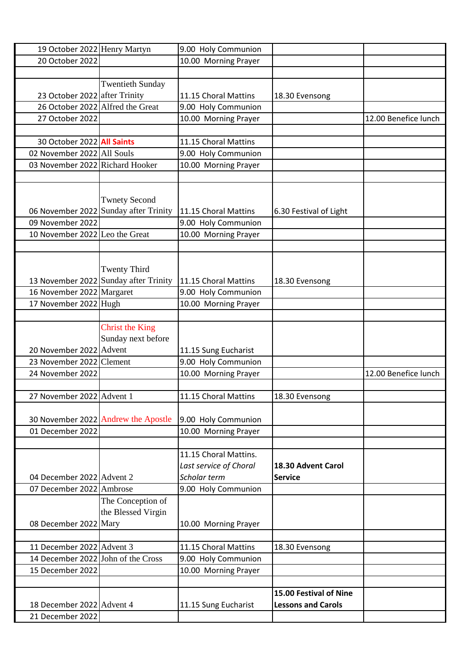| 19 October 2022 Henry Martyn                 |                                       | 9.00 Holy Communion    |                           |                      |
|----------------------------------------------|---------------------------------------|------------------------|---------------------------|----------------------|
| 20 October 2022                              |                                       | 10.00 Morning Prayer   |                           |                      |
|                                              |                                       |                        |                           |                      |
|                                              | <b>Twentieth Sunday</b>               |                        |                           |                      |
| 23 October 2022 after Trinity                |                                       | 11.15 Choral Mattins   | 18.30 Evensong            |                      |
| 26 October 2022 Alfred the Great             |                                       | 9.00 Holy Communion    |                           |                      |
| 27 October 2022                              |                                       | 10.00 Morning Prayer   |                           | 12.00 Benefice lunch |
|                                              |                                       |                        |                           |                      |
| 30 October 2022 All Saints                   |                                       | 11.15 Choral Mattins   |                           |                      |
| 02 November 2022 All Souls                   |                                       | 9.00 Holy Communion    |                           |                      |
| 03 November 2022 Richard Hooker              |                                       | 10.00 Morning Prayer   |                           |                      |
|                                              |                                       |                        |                           |                      |
|                                              |                                       |                        |                           |                      |
|                                              | <b>Twnety Second</b>                  |                        |                           |                      |
|                                              | 06 November 2022 Sunday after Trinity | 11.15 Choral Mattins   | 6.30 Festival of Light    |                      |
| 09 November 2022                             |                                       | 9.00 Holy Communion    |                           |                      |
| 10 November 2022 Leo the Great               |                                       | 10.00 Morning Prayer   |                           |                      |
|                                              |                                       |                        |                           |                      |
|                                              |                                       |                        |                           |                      |
|                                              | <b>Twenty Third</b>                   |                        |                           |                      |
|                                              | 13 November 2022 Sunday after Trinity | 11.15 Choral Mattins   | 18.30 Evensong            |                      |
| 16 November 2022 Margaret                    |                                       | 9.00 Holy Communion    |                           |                      |
| 17 November 2022 Hugh                        |                                       | 10.00 Morning Prayer   |                           |                      |
|                                              |                                       |                        |                           |                      |
|                                              |                                       |                        |                           |                      |
|                                              | <b>Christ the King</b>                |                        |                           |                      |
| 20 November 2022 Advent                      | Sunday next before                    |                        |                           |                      |
|                                              |                                       | 11.15 Sung Eucharist   |                           |                      |
| 23 November 2022 Clement<br>24 November 2022 |                                       | 9.00 Holy Communion    |                           |                      |
|                                              |                                       | 10.00 Morning Prayer   |                           | 12.00 Benefice lunch |
|                                              |                                       |                        |                           |                      |
| 27 November 2022 Advent 1                    |                                       | 11.15 Choral Mattins   | 18.30 Evensong            |                      |
|                                              |                                       |                        |                           |                      |
|                                              | 30 November 2022 Andrew the Apostle   | 9.00 Holy Communion    |                           |                      |
| 01 December 2022                             |                                       | 10.00 Morning Prayer   |                           |                      |
|                                              |                                       |                        |                           |                      |
|                                              |                                       | 11.15 Choral Mattins.  |                           |                      |
|                                              |                                       | Last service of Choral | 18.30 Advent Carol        |                      |
| 04 December 2022 Advent 2                    |                                       | Scholar term           | <b>Service</b>            |                      |
| 07 December 2022 Ambrose                     |                                       | 9.00 Holy Communion    |                           |                      |
|                                              | The Conception of                     |                        |                           |                      |
|                                              | the Blessed Virgin                    |                        |                           |                      |
| 08 December 2022 Mary                        |                                       | 10.00 Morning Prayer   |                           |                      |
|                                              |                                       |                        |                           |                      |
| 11 December 2022 Advent 3                    |                                       | 11.15 Choral Mattins   | 18.30 Evensong            |                      |
| 14 December 2022 John of the Cross           |                                       | 9.00 Holy Communion    |                           |                      |
| 15 December 2022                             |                                       | 10.00 Morning Prayer   |                           |                      |
|                                              |                                       |                        |                           |                      |
|                                              |                                       |                        | 15.00 Festival of Nine    |                      |
| 18 December 2022 Advent 4                    |                                       | 11.15 Sung Eucharist   | <b>Lessons and Carols</b> |                      |
| 21 December 2022                             |                                       |                        |                           |                      |